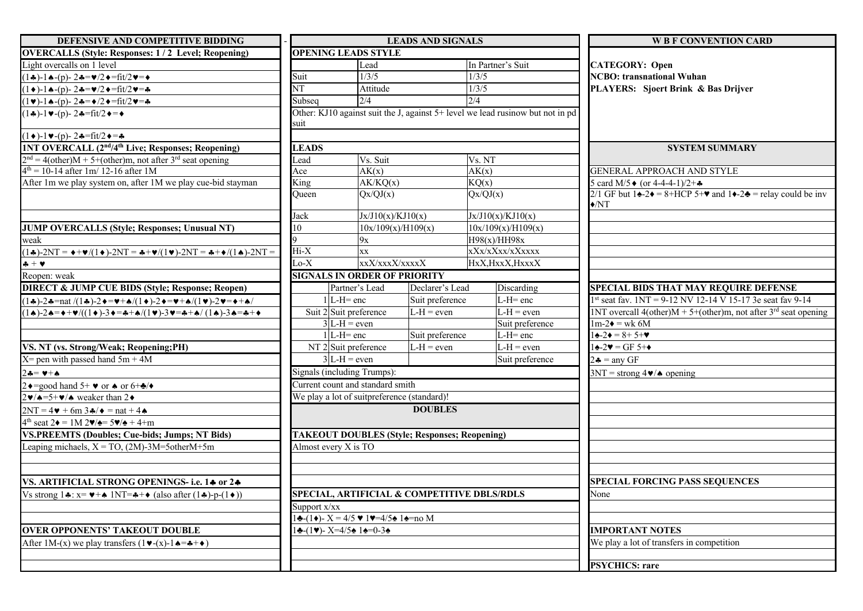| DEFENSIVE AND COMPETITIVE BIDDING                                                                                                                     | <b>LEADS AND SIGNALS</b>                                                                                                                                                                                       |                        |                                                      |                                                                                | <b>W B F CONVENTION CARD</b>                                                                                                                                         |  |  |
|-------------------------------------------------------------------------------------------------------------------------------------------------------|----------------------------------------------------------------------------------------------------------------------------------------------------------------------------------------------------------------|------------------------|------------------------------------------------------|--------------------------------------------------------------------------------|----------------------------------------------------------------------------------------------------------------------------------------------------------------------|--|--|
| <b>OVERCALLS (Style: Responses: 1/2 Level; Reopening)</b>                                                                                             | <b>OPENING LEADS STYLE</b>                                                                                                                                                                                     |                        |                                                      |                                                                                |                                                                                                                                                                      |  |  |
| Light overcalls on 1 level                                                                                                                            |                                                                                                                                                                                                                | Lead                   |                                                      | In Partner's Suit                                                              | <b>CATEGORY: Open</b>                                                                                                                                                |  |  |
| $(1\clubsuit)$ -1 $\spadesuit$ -(p)-2 $\clubsuit = \lor /2 \spadesuit = \text{fit}/2 \lor = \spadesuit$                                               | Suit                                                                                                                                                                                                           | 1/3/5                  |                                                      | 1/3/5                                                                          | <b>NCBO:</b> transnational Wuhan                                                                                                                                     |  |  |
| $(1 \bullet)$ -1 $\bullet$ -(p)-2 $\bullet = \bullet/2 \bullet = \text{fit}/2 \bullet = \bullet$                                                      | $\overline{\text{NT}}$                                                                                                                                                                                         | Attitude               |                                                      | 1/3/5                                                                          | PLAYERS: Sjoert Brink & Bas Drijver                                                                                                                                  |  |  |
| $(1 \vee)$ -14-(p)-24= $\angle$ /2+=fit/2 $\vee$ =4                                                                                                   | Subseq                                                                                                                                                                                                         | 2/4                    |                                                      | 2/4                                                                            |                                                                                                                                                                      |  |  |
| $(1\clubsuit)$ -1 $\blacktriangleright$ -(p)-2 $\clubsuit$ =fit/2 $\blacklozenge$ = $\blacklozenge$                                                   |                                                                                                                                                                                                                |                        |                                                      | Other: KJ10 against suit the J, against 5+ level we lead rusinow but not in pd |                                                                                                                                                                      |  |  |
|                                                                                                                                                       | suit                                                                                                                                                                                                           |                        |                                                      |                                                                                |                                                                                                                                                                      |  |  |
| $(1\bullet)$ -1 $\bullet$ -(p)-2 $\bullet$ =fit/2 $\bullet$ =4                                                                                        |                                                                                                                                                                                                                |                        |                                                      |                                                                                |                                                                                                                                                                      |  |  |
| <b>1NT OVERCALL (2nd/4th Live; Responses; Reopening)</b>                                                                                              | <b>LEADS</b>                                                                                                                                                                                                   |                        |                                                      |                                                                                | <b>SYSTEM SUMMARY</b>                                                                                                                                                |  |  |
| $2nd = 4(other)M + 5+(other)m$ , not after 3 <sup>rd</sup> seat opening                                                                               | ∟ead                                                                                                                                                                                                           | Vs. Suit               |                                                      | Vs. NT                                                                         |                                                                                                                                                                      |  |  |
| $4th = 10-14$ after 1m/ 12-16 after 1M                                                                                                                | Ace                                                                                                                                                                                                            | AK(x)                  |                                                      | AK(x)                                                                          | GENERAL APPROACH AND STYLE                                                                                                                                           |  |  |
| After 1m we play system on, after 1M we play cue-bid stayman                                                                                          | King                                                                                                                                                                                                           | AK/KQ(x)               |                                                      | KQ(x)                                                                          | 5 card M/5 $\bullet$ (or 4-4-4-1)/2+ $\clubsuit$                                                                                                                     |  |  |
|                                                                                                                                                       | Oueen                                                                                                                                                                                                          | Qx/QJ(x)               |                                                      | Qx/QJ(x)                                                                       | 2/1 GF but $1\triangle 2\blacklozenge = 8 + HCP$ 5+ $\blacktriangledown$ and $1\blacklozenge 2\blacklozenge =$ relay could be inv<br>$\blacklozenge\!/\!\mathrm{NT}$ |  |  |
|                                                                                                                                                       | Jack                                                                                                                                                                                                           | Jx/J10(x)/KJ10(x)      |                                                      | Jx/J10(x)/KJ10(x)                                                              |                                                                                                                                                                      |  |  |
| <b>JUMP OVERCALLS (Style; Responses; Unusual NT)</b>                                                                                                  | 10                                                                                                                                                                                                             | 10x/109(x)/H109(x)     |                                                      | 10x/109(x)/H109(x)                                                             |                                                                                                                                                                      |  |  |
| weak                                                                                                                                                  |                                                                                                                                                                                                                | 9x                     |                                                      | H98(x)/HH98x                                                                   |                                                                                                                                                                      |  |  |
| $(1\clubsuit)$ -2NT = $\bullet + \mathbf{v}/(1\bullet)$ -2NT = $\clubsuit + \mathbf{v}/(1\bullet)$ -2NT = $\clubsuit + \bullet/(1\spadesuit)$ -2NT =  | $Hi-X$                                                                                                                                                                                                         | XX                     |                                                      | xXx/xXxx/xXxxxx                                                                |                                                                                                                                                                      |  |  |
| $+ +$                                                                                                                                                 | $Lo-X$                                                                                                                                                                                                         | xxX/xxxX/xxxxX         | HxX, HxxX, HxxxX                                     |                                                                                |                                                                                                                                                                      |  |  |
| Reopen: weak                                                                                                                                          | <b>SIGNALS IN ORDER OF PRIORITY</b>                                                                                                                                                                            |                        |                                                      |                                                                                |                                                                                                                                                                      |  |  |
| <b>DIRECT &amp; JUMP CUE BIDS (Style; Response; Reopen)</b>                                                                                           |                                                                                                                                                                                                                | Partner's Lead         | Declarer's Lead                                      | $\overline{\mathrm{Discarding}}$                                               | <b>SPECIAL BIDS THAT MAY REQUIRE DEFENSE</b>                                                                                                                         |  |  |
| $(1\clubsuit)$ -24=nat /(14)-2 $\bullet$ = $\bullet$ +4/(1 $\bullet$ )-2 $\bullet$ = $\bullet$ +4/(1 $\bullet$ )-2 $\bullet$ = $\bullet$ +4/          | $1$ L-H= enc                                                                                                                                                                                                   |                        | Suit preference                                      | $L-H=$ enc                                                                     | $1st$ seat fav. $1NT = 9-12$ NV 12-14 V 15-17 3e seat fav 9-14                                                                                                       |  |  |
| $(1\bullet)-2\bullet=\bullet+\mathbf{v}/((1\bullet)-3\bullet=\bullet+\bullet/(1\bullet)-3\bullet=\bullet+\bullet/(1\bullet)-3\bullet=\bullet+\bullet$ | Suit 2 Suit preference                                                                                                                                                                                         |                        | $L-H = even$                                         | $L-H = even$                                                                   | 1NT overcall $4(other)M + 5+(other)m$ , not after 3 <sup>rd</sup> seat opening                                                                                       |  |  |
|                                                                                                                                                       |                                                                                                                                                                                                                | $3L-H = even$          |                                                      | Suit preference                                                                | $1m-2\bullet = wk 6M$                                                                                                                                                |  |  |
|                                                                                                                                                       | $1$ L-H= enc                                                                                                                                                                                                   |                        | Suit preference                                      | $L-H=$ enc                                                                     | $1\spadesuit - 2\spadesuit = 8 + 5 + \blacktriangledown$                                                                                                             |  |  |
| VS. NT (vs. Strong/Weak; Reopening;PH)                                                                                                                |                                                                                                                                                                                                                | NT 2 Suit preference   | $L-H = even$                                         | $L-H = even$                                                                   | $1\bigstar - 2\blacktriangledown = \text{GF } 5 + \blacktriangledown$                                                                                                |  |  |
| $X =$ pen with passed hand $5m + 4M$                                                                                                                  |                                                                                                                                                                                                                | $3$ L-H = even         |                                                      | Suit preference                                                                | $2 \triangleq$ = any GF                                                                                                                                              |  |  |
| $2 \clubsuit = \blacktriangledown + \spadesuit$                                                                                                       | Signals (including Trumps):                                                                                                                                                                                    |                        |                                                      |                                                                                | $3NT =$ strong 4 $\blacktriangleright$ $\blacktriangleright$ opening                                                                                                 |  |  |
| $2 \triangleleft = \text{good hand } 5^+ \triangleleft \text{ or } \triangleleft \text{ or } 6^+ \triangleleft \text{ /} \triangleleft$               | Current count and standard smith                                                                                                                                                                               |                        |                                                      |                                                                                |                                                                                                                                                                      |  |  |
| $2\blacktriangleright$ / $\blacktriangle =$ 5+ $\blacktriangleright$ / $\blacktriangle$ weaker than 2 $\blacktriangleright$                           | We play a lot of suitpreference (standard)!                                                                                                                                                                    |                        |                                                      |                                                                                |                                                                                                                                                                      |  |  |
| $2NT = 4\mathbf{v} + 6m\,3\mathbf{A}/\mathbf{v} = nat + 4\mathbf{A}$                                                                                  |                                                                                                                                                                                                                |                        | <b>DOUBLES</b>                                       |                                                                                |                                                                                                                                                                      |  |  |
| $4th$ seat 2 $\triangleleft$ = 1M 2 $\angle$ / $\triangleleft$ = 5 $\angle$ / $\triangleleft$ + 4+m                                                   |                                                                                                                                                                                                                |                        |                                                      |                                                                                |                                                                                                                                                                      |  |  |
| VS.PREEMTS (Doubles; Cue-bids; Jumps; NT Bids)                                                                                                        |                                                                                                                                                                                                                |                        | <b>TAKEOUT DOUBLES (Style; Responses; Reopening)</b> |                                                                                |                                                                                                                                                                      |  |  |
| Leaping michaels, $X = TO$ , (2M)-3M=5otherM+5m                                                                                                       | Almost every X is TO                                                                                                                                                                                           |                        |                                                      |                                                                                |                                                                                                                                                                      |  |  |
|                                                                                                                                                       |                                                                                                                                                                                                                |                        |                                                      |                                                                                |                                                                                                                                                                      |  |  |
|                                                                                                                                                       |                                                                                                                                                                                                                |                        |                                                      |                                                                                |                                                                                                                                                                      |  |  |
| VS. ARTIFICIAL STRONG OPENINGS- i.e. 14 or 24                                                                                                         |                                                                                                                                                                                                                |                        |                                                      |                                                                                | <b>SPECIAL FORCING PASS SEQUENCES</b>                                                                                                                                |  |  |
| Vs strong $1\clubsuit$ : $x= \blacktriangleright + \spadesuit$ 1NT= $\clubsuit + \diamond$ (also after (1 $\clubsuit$ )-p-(1 $\diamond$ ))            |                                                                                                                                                                                                                |                        |                                                      | SPECIAL, ARTIFICIAL & COMPETITIVE DBLS/RDLS                                    | None                                                                                                                                                                 |  |  |
|                                                                                                                                                       | Support x/xx                                                                                                                                                                                                   |                        |                                                      |                                                                                |                                                                                                                                                                      |  |  |
|                                                                                                                                                       | $1\clubsuit$ -(1+)- X = 4/5 $\blacktriangledown$ 1 $\blacktriangledown$ =4/5 $\spadesuit$ 1 $\spadesuit$ =no M<br>$1\clubsuit$ -(1 $\blacktriangledown$ )- X=4/5 $\spadesuit$ 1 $\spadesuit$ =0-3 $\spadesuit$ |                        |                                                      |                                                                                |                                                                                                                                                                      |  |  |
| <b>OVER OPPONENTS' TAKEOUT DOUBLE</b>                                                                                                                 |                                                                                                                                                                                                                | <b>IMPORTANT NOTES</b> |                                                      |                                                                                |                                                                                                                                                                      |  |  |
| After 1M-(x) we play transfers $(1 \vee -(x)-1 \triangle = + \diamond)$                                                                               |                                                                                                                                                                                                                |                        |                                                      |                                                                                | We play a lot of transfers in competition                                                                                                                            |  |  |
|                                                                                                                                                       |                                                                                                                                                                                                                |                        |                                                      |                                                                                |                                                                                                                                                                      |  |  |
|                                                                                                                                                       |                                                                                                                                                                                                                |                        |                                                      |                                                                                | <b>PSYCHICS: rare</b>                                                                                                                                                |  |  |